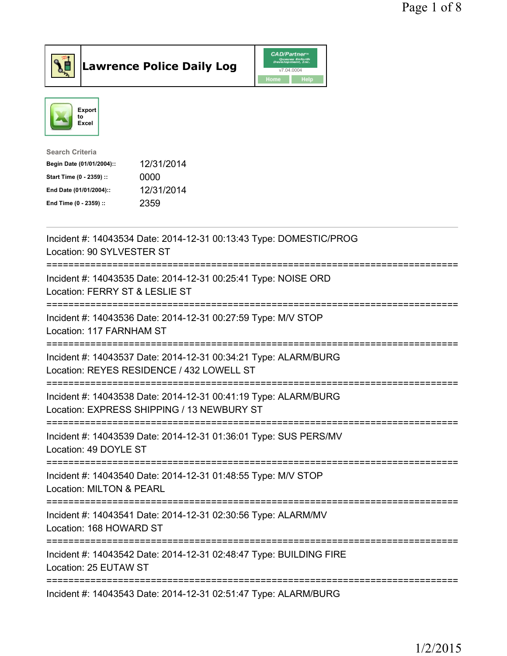



| <b>Search Criteria</b>    |            |
|---------------------------|------------|
| Begin Date (01/01/2004):: | 12/31/2014 |
| Start Time (0 - 2359) ::  | 0000       |
| End Date (01/01/2004)::   | 12/31/2014 |
| End Time (0 - 2359) ::    | 2359       |

| Incident #: 14043534 Date: 2014-12-31 00:13:43 Type: DOMESTIC/PROG<br>Location: 90 SYLVESTER ST                                               |
|-----------------------------------------------------------------------------------------------------------------------------------------------|
| Incident #: 14043535 Date: 2014-12-31 00:25:41 Type: NOISE ORD<br>Location: FERRY ST & LESLIE ST                                              |
| Incident #: 14043536 Date: 2014-12-31 00:27:59 Type: M/V STOP<br>Location: 117 FARNHAM ST                                                     |
| Incident #: 14043537 Date: 2014-12-31 00:34:21 Type: ALARM/BURG<br>Location: REYES RESIDENCE / 432 LOWELL ST                                  |
| Incident #: 14043538 Date: 2014-12-31 00:41:19 Type: ALARM/BURG<br>Location: EXPRESS SHIPPING / 13 NEWBURY ST                                 |
| Incident #: 14043539 Date: 2014-12-31 01:36:01 Type: SUS PERS/MV<br>Location: 49 DOYLE ST                                                     |
| -------------------------------------<br>Incident #: 14043540 Date: 2014-12-31 01:48:55 Type: M/V STOP<br><b>Location: MILTON &amp; PEARL</b> |
| Incident #: 14043541 Date: 2014-12-31 02:30:56 Type: ALARM/MV<br>Location: 168 HOWARD ST                                                      |
| -------------------------------------<br>Incident #: 14043542 Date: 2014-12-31 02:48:47 Type: BUILDING FIRE<br>Location: 25 EUTAW ST          |
| Incident #: 14043543 Date: 2014-12-31 02:51:47 Type: ALARM/BURG                                                                               |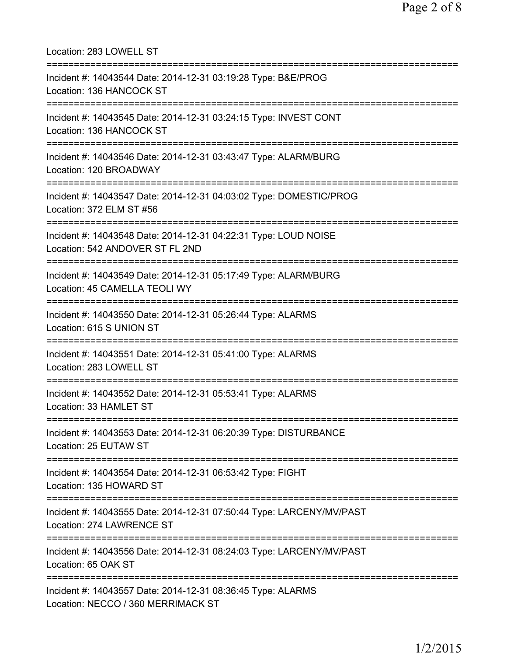| Location: 283 LOWELL ST                                                                                                                |
|----------------------------------------------------------------------------------------------------------------------------------------|
| Incident #: 14043544 Date: 2014-12-31 03:19:28 Type: B&E/PROG<br>Location: 136 HANCOCK ST                                              |
| Incident #: 14043545 Date: 2014-12-31 03:24:15 Type: INVEST CONT<br>Location: 136 HANCOCK ST<br>:======================                |
| Incident #: 14043546 Date: 2014-12-31 03:43:47 Type: ALARM/BURG<br>Location: 120 BROADWAY                                              |
| Incident #: 14043547 Date: 2014-12-31 04:03:02 Type: DOMESTIC/PROG<br>Location: 372 ELM ST #56                                         |
| ===============================<br>Incident #: 14043548 Date: 2014-12-31 04:22:31 Type: LOUD NOISE<br>Location: 542 ANDOVER ST FL 2ND  |
| :=================================<br>Incident #: 14043549 Date: 2014-12-31 05:17:49 Type: ALARM/BURG<br>Location: 45 CAMELLA TEOLI WY |
| :========================<br>Incident #: 14043550 Date: 2014-12-31 05:26:44 Type: ALARMS<br>Location: 615 S UNION ST                   |
| Incident #: 14043551 Date: 2014-12-31 05:41:00 Type: ALARMS<br>Location: 283 LOWELL ST                                                 |
| Incident #: 14043552 Date: 2014-12-31 05:53:41 Type: ALARMS<br>Location: 33 HAMLET ST                                                  |
| Incident #: 14043553 Date: 2014-12-31 06:20:39 Type: DISTURBANCE<br>Location: 25 EUTAW ST                                              |
| Incident #: 14043554 Date: 2014-12-31 06:53:42 Type: FIGHT<br>Location: 135 HOWARD ST                                                  |
| Incident #: 14043555 Date: 2014-12-31 07:50:44 Type: LARCENY/MV/PAST<br>Location: 274 LAWRENCE ST                                      |
| Incident #: 14043556 Date: 2014-12-31 08:24:03 Type: LARCENY/MV/PAST<br>Location: 65 OAK ST                                            |
| :=============================<br>Incident #: 14043557 Date: 2014-12-31 08:36:45 Type: ALARMS<br>Location: NECCO / 360 MERRIMACK ST    |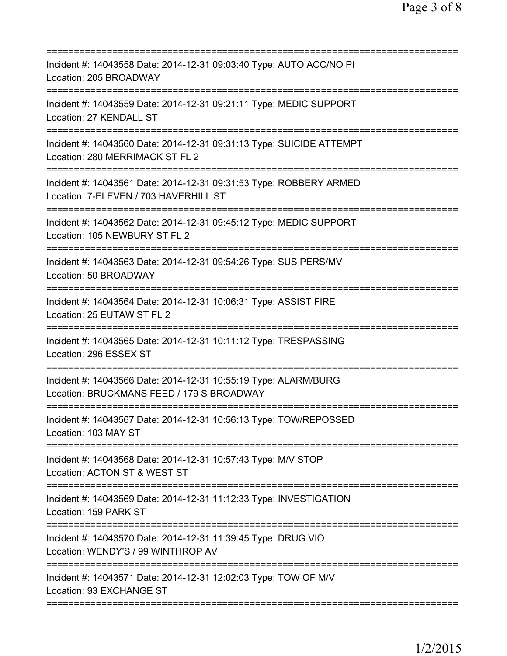| Incident #: 14043558 Date: 2014-12-31 09:03:40 Type: AUTO ACC/NO PI<br>Location: 205 BROADWAY                                              |
|--------------------------------------------------------------------------------------------------------------------------------------------|
| Incident #: 14043559 Date: 2014-12-31 09:21:11 Type: MEDIC SUPPORT<br>Location: 27 KENDALL ST                                              |
| Incident #: 14043560 Date: 2014-12-31 09:31:13 Type: SUICIDE ATTEMPT<br>Location: 280 MERRIMACK ST FL 2                                    |
| Incident #: 14043561 Date: 2014-12-31 09:31:53 Type: ROBBERY ARMED<br>Location: 7-ELEVEN / 703 HAVERHILL ST<br>=========================== |
| Incident #: 14043562 Date: 2014-12-31 09:45:12 Type: MEDIC SUPPORT<br>Location: 105 NEWBURY ST FL 2                                        |
| Incident #: 14043563 Date: 2014-12-31 09:54:26 Type: SUS PERS/MV<br>Location: 50 BROADWAY                                                  |
| Incident #: 14043564 Date: 2014-12-31 10:06:31 Type: ASSIST FIRE<br>Location: 25 EUTAW ST FL 2                                             |
| Incident #: 14043565 Date: 2014-12-31 10:11:12 Type: TRESPASSING<br>Location: 296 ESSEX ST                                                 |
| Incident #: 14043566 Date: 2014-12-31 10:55:19 Type: ALARM/BURG<br>Location: BRUCKMANS FEED / 179 S BROADWAY                               |
| Incident #: 14043567 Date: 2014-12-31 10:56:13 Type: TOW/REPOSSED<br>Location: 103 MAY ST<br>===========================                   |
| Incident #: 14043568 Date: 2014-12-31 10:57:43 Type: M/V STOP<br>Location: ACTON ST & WEST ST                                              |
| Incident #: 14043569 Date: 2014-12-31 11:12:33 Type: INVESTIGATION<br>Location: 159 PARK ST                                                |
| Incident #: 14043570 Date: 2014-12-31 11:39:45 Type: DRUG VIO<br>Location: WENDY'S / 99 WINTHROP AV                                        |
| Incident #: 14043571 Date: 2014-12-31 12:02:03 Type: TOW OF M/V<br>Location: 93 EXCHANGE ST                                                |
|                                                                                                                                            |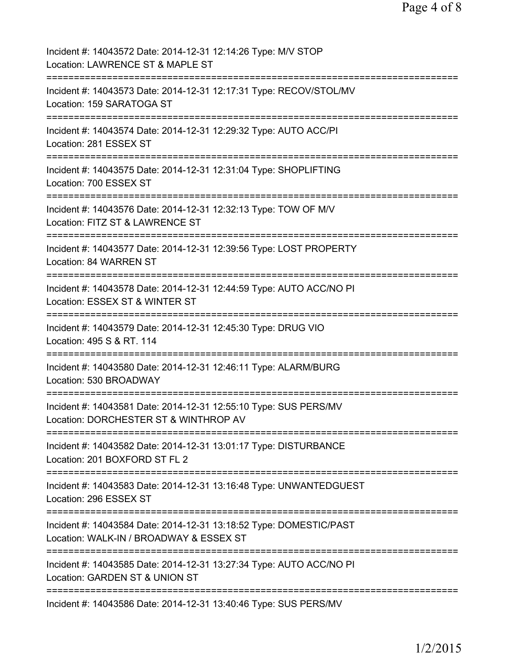| Incident #: 14043572 Date: 2014-12-31 12:14:26 Type: M/V STOP<br>Location: LAWRENCE ST & MAPLE ST                       |
|-------------------------------------------------------------------------------------------------------------------------|
| Incident #: 14043573 Date: 2014-12-31 12:17:31 Type: RECOV/STOL/MV<br>Location: 159 SARATOGA ST                         |
| Incident #: 14043574 Date: 2014-12-31 12:29:32 Type: AUTO ACC/PI<br>Location: 281 ESSEX ST                              |
| Incident #: 14043575 Date: 2014-12-31 12:31:04 Type: SHOPLIFTING<br>Location: 700 ESSEX ST                              |
| Incident #: 14043576 Date: 2014-12-31 12:32:13 Type: TOW OF M/V<br>Location: FITZ ST & LAWRENCE ST                      |
| Incident #: 14043577 Date: 2014-12-31 12:39:56 Type: LOST PROPERTY<br>Location: 84 WARREN ST                            |
| Incident #: 14043578 Date: 2014-12-31 12:44:59 Type: AUTO ACC/NO PI<br>Location: ESSEX ST & WINTER ST<br>:============= |
| Incident #: 14043579 Date: 2014-12-31 12:45:30 Type: DRUG VIO<br>Location: 495 S & RT. 114                              |
| Incident #: 14043580 Date: 2014-12-31 12:46:11 Type: ALARM/BURG<br>Location: 530 BROADWAY                               |
| Incident #: 14043581 Date: 2014-12-31 12:55:10 Type: SUS PERS/MV<br>Location: DORCHESTER ST & WINTHROP AV               |
| Incident #: 14043582 Date: 2014-12-31 13:01:17 Type: DISTURBANCE<br>Location: 201 BOXFORD ST FL 2                       |
| Incident #: 14043583 Date: 2014-12-31 13:16:48 Type: UNWANTEDGUEST<br>Location: 296 ESSEX ST                            |
| Incident #: 14043584 Date: 2014-12-31 13:18:52 Type: DOMESTIC/PAST<br>Location: WALK-IN / BROADWAY & ESSEX ST           |
| Incident #: 14043585 Date: 2014-12-31 13:27:34 Type: AUTO ACC/NO PI<br>Location: GARDEN ST & UNION ST                   |
| ========================<br>Incident #: 14043586 Date: 2014-12-31 13:40:46 Type: SUS PERS/MV                            |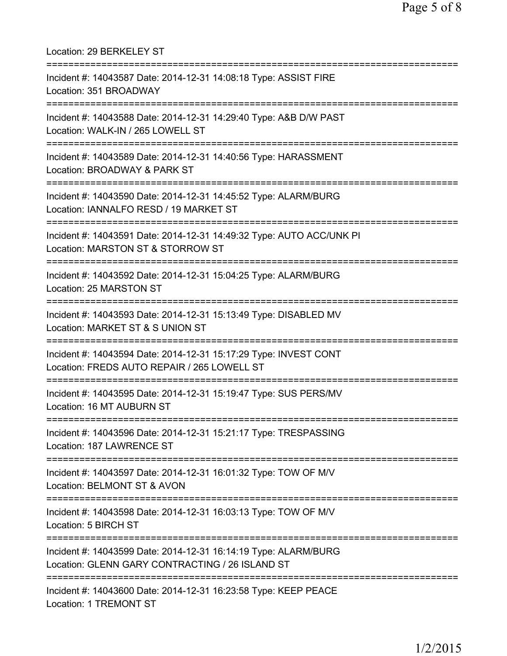| Location: 29 BERKELEY ST                                                                                                                           |
|----------------------------------------------------------------------------------------------------------------------------------------------------|
| Incident #: 14043587 Date: 2014-12-31 14:08:18 Type: ASSIST FIRE<br>Location: 351 BROADWAY                                                         |
| Incident #: 14043588 Date: 2014-12-31 14:29:40 Type: A&B D/W PAST<br>Location: WALK-IN / 265 LOWELL ST                                             |
| Incident #: 14043589 Date: 2014-12-31 14:40:56 Type: HARASSMENT<br>Location: BROADWAY & PARK ST<br>:================================               |
| Incident #: 14043590 Date: 2014-12-31 14:45:52 Type: ALARM/BURG<br>Location: IANNALFO RESD / 19 MARKET ST<br>===================================== |
| Incident #: 14043591 Date: 2014-12-31 14:49:32 Type: AUTO ACC/UNK PI<br>Location: MARSTON ST & STORROW ST<br>===============================       |
| Incident #: 14043592 Date: 2014-12-31 15:04:25 Type: ALARM/BURG<br>Location: 25 MARSTON ST                                                         |
| Incident #: 14043593 Date: 2014-12-31 15:13:49 Type: DISABLED MV<br>Location: MARKET ST & S UNION ST                                               |
| Incident #: 14043594 Date: 2014-12-31 15:17:29 Type: INVEST CONT<br>Location: FREDS AUTO REPAIR / 265 LOWELL ST                                    |
| ====================<br>Incident #: 14043595 Date: 2014-12-31 15:19:47 Type: SUS PERS/MV<br>Location: 16 MT AUBURN ST                              |
| Incident #: 14043596 Date: 2014-12-31 15:21:17 Type: TRESPASSING<br>Location: 187 LAWRENCE ST                                                      |
| Incident #: 14043597 Date: 2014-12-31 16:01:32 Type: TOW OF M/V<br>Location: BELMONT ST & AVON                                                     |
| Incident #: 14043598 Date: 2014-12-31 16:03:13 Type: TOW OF M/V<br>Location: 5 BIRCH ST                                                            |
| Incident #: 14043599 Date: 2014-12-31 16:14:19 Type: ALARM/BURG<br>Location: GLENN GARY CONTRACTING / 26 ISLAND ST                                 |
| Incident #: 14043600 Date: 2014-12-31 16:23:58 Type: KEEP PEACE<br>Location: 1 TREMONT ST                                                          |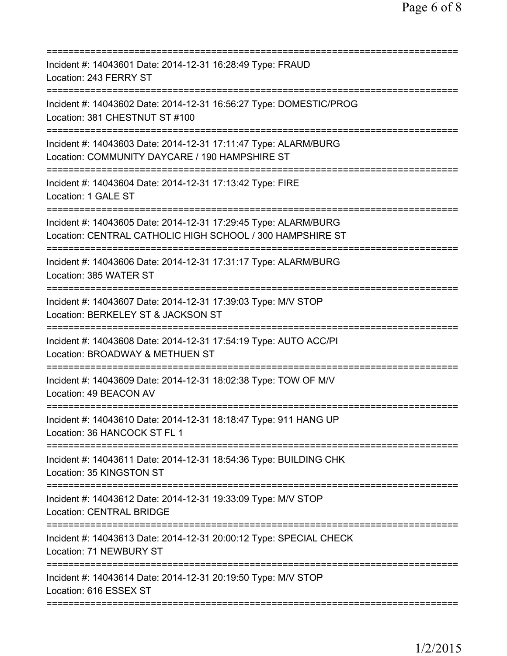| Incident #: 14043601 Date: 2014-12-31 16:28:49 Type: FRAUD<br>Location: 243 FERRY ST                                                                                |
|---------------------------------------------------------------------------------------------------------------------------------------------------------------------|
| Incident #: 14043602 Date: 2014-12-31 16:56:27 Type: DOMESTIC/PROG<br>Location: 381 CHESTNUT ST #100                                                                |
| Incident #: 14043603 Date: 2014-12-31 17:11:47 Type: ALARM/BURG<br>Location: COMMUNITY DAYCARE / 190 HAMPSHIRE ST                                                   |
| Incident #: 14043604 Date: 2014-12-31 17:13:42 Type: FIRE<br>Location: 1 GALE ST<br>==============                                                                  |
| Incident #: 14043605 Date: 2014-12-31 17:29:45 Type: ALARM/BURG<br>Location: CENTRAL CATHOLIC HIGH SCHOOL / 300 HAMPSHIRE ST<br>=================================== |
| Incident #: 14043606 Date: 2014-12-31 17:31:17 Type: ALARM/BURG<br>Location: 385 WATER ST                                                                           |
| Incident #: 14043607 Date: 2014-12-31 17:39:03 Type: M/V STOP<br>Location: BERKELEY ST & JACKSON ST                                                                 |
| Incident #: 14043608 Date: 2014-12-31 17:54:19 Type: AUTO ACC/PI<br>Location: BROADWAY & METHUEN ST                                                                 |
| Incident #: 14043609 Date: 2014-12-31 18:02:38 Type: TOW OF M/V<br>Location: 49 BEACON AV                                                                           |
| Incident #: 14043610 Date: 2014-12-31 18:18:47 Type: 911 HANG UP<br>Location: 36 HANCOCK ST FL 1<br>========================                                        |
| Incident #: 14043611 Date: 2014-12-31 18:54:36 Type: BUILDING CHK<br>Location: 35 KINGSTON ST                                                                       |
| Incident #: 14043612 Date: 2014-12-31 19:33:09 Type: M/V STOP<br><b>Location: CENTRAL BRIDGE</b>                                                                    |
| Incident #: 14043613 Date: 2014-12-31 20:00:12 Type: SPECIAL CHECK<br>Location: 71 NEWBURY ST                                                                       |
| Incident #: 14043614 Date: 2014-12-31 20:19:50 Type: M/V STOP<br>Location: 616 ESSEX ST                                                                             |
|                                                                                                                                                                     |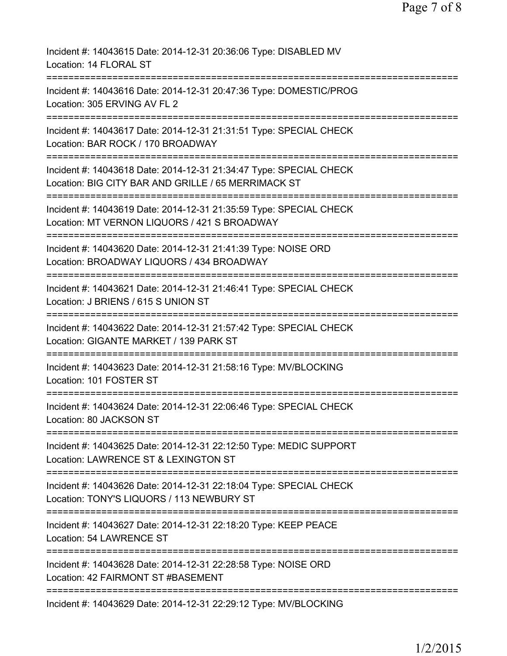| Incident #: 14043615 Date: 2014-12-31 20:36:06 Type: DISABLED MV<br>Location: 14 FLORAL ST                                                    |
|-----------------------------------------------------------------------------------------------------------------------------------------------|
| Incident #: 14043616 Date: 2014-12-31 20:47:36 Type: DOMESTIC/PROG<br>Location: 305 ERVING AV FL 2                                            |
| Incident #: 14043617 Date: 2014-12-31 21:31:51 Type: SPECIAL CHECK<br>Location: BAR ROCK / 170 BROADWAY                                       |
| Incident #: 14043618 Date: 2014-12-31 21:34:47 Type: SPECIAL CHECK<br>Location: BIG CITY BAR AND GRILLE / 65 MERRIMACK ST                     |
| Incident #: 14043619 Date: 2014-12-31 21:35:59 Type: SPECIAL CHECK<br>Location: MT VERNON LIQUORS / 421 S BROADWAY                            |
| Incident #: 14043620 Date: 2014-12-31 21:41:39 Type: NOISE ORD<br>Location: BROADWAY LIQUORS / 434 BROADWAY<br>;============================= |
| Incident #: 14043621 Date: 2014-12-31 21:46:41 Type: SPECIAL CHECK<br>Location: J BRIENS / 615 S UNION ST                                     |
| Incident #: 14043622 Date: 2014-12-31 21:57:42 Type: SPECIAL CHECK<br>Location: GIGANTE MARKET / 139 PARK ST                                  |
| Incident #: 14043623 Date: 2014-12-31 21:58:16 Type: MV/BLOCKING<br>Location: 101 FOSTER ST<br>---------------------                          |
| Incident #: 14043624 Date: 2014-12-31 22:06:46 Type: SPECIAL CHECK<br>Location: 80 JACKSON ST                                                 |
| Incident #: 14043625 Date: 2014-12-31 22:12:50 Type: MEDIC SUPPORT<br>Location: LAWRENCE ST & LEXINGTON ST                                    |
| Incident #: 14043626 Date: 2014-12-31 22:18:04 Type: SPECIAL CHECK<br>Location: TONY'S LIQUORS / 113 NEWBURY ST                               |
| Incident #: 14043627 Date: 2014-12-31 22:18:20 Type: KEEP PEACE<br>Location: 54 LAWRENCE ST                                                   |
| Incident #: 14043628 Date: 2014-12-31 22:28:58 Type: NOISE ORD<br>Location: 42 FAIRMONT ST #BASEMENT                                          |
| Incident #: 14043629 Date: 2014-12-31 22:29:12 Type: MV/BLOCKING                                                                              |